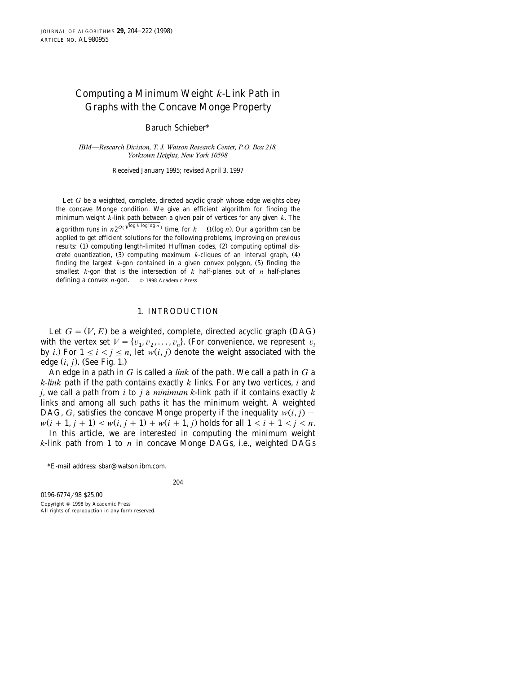# Computing a Minimum Weight *k*-Link Path in Graphs with the Concave Monge Property

Baruch Schieber\*

*IBM*}*Research Di*¨*ision, T. J. Watson Research Center, P.O. Box 218, Yorktown Heights, New York 10598*

Received January 1995; revised April 3, 1997

Let *G* be a weighted, complete, directed acyclic graph whose edge weights obey the concave Monge condition. We give an efficient algorithm for finding the minimum weight *k*-link path between a given pair of vertices for any given *k*. The algorithm runs in  $n2^{O(\sqrt{\log k \log \log n})}$  time, for  $k = \Omega(\log n)$ . Our algorithm can be applied to get efficient solutions for the following problems, improving on previous results:  $(1)$  computing length-limited Huffman codes,  $(2)$  computing optimal discrete quantization,  $(3)$  computing maximum k-cliques of an interval graph,  $(4)$ finding the largest  $k$ -gon contained in a given convex polygon,  $(5)$  finding the smallest  $k$ -gon that is the intersection of  $k$  half-planes out of  $n$  half-planes defining a convex *n*-gon.  $\circ$  1998 Academic Press

#### 1. INTRODUCTION

Let  $G = (V, E)$  be a weighted, complete, directed acyclic graph (DAG) with the vertex set  $V = \{v_1, v_2, \ldots, v_n\}$ . (For convenience, we represent  $v_i$ by *i*.) For  $1 \le i \le j \le n$ , let  $w(i, j)$  denote the weight associated with the edge  $(i, j)$ . (See Fig. 1.)

An edge in a path in *G* is called a *link* of the path. We call a path in *G* a *k*-*link* path if the path contains exactly *k* links. For any two vertices, *i* and *j*, we call a path from *i* to *j* a *minimum k*-link path if it contains exactly *k* links and among all such paths it has the minimum weight. A weighted DAG, *G*, satisfies the concave Monge property if the inequality  $w(i, j)$  +  $w(i + 1, j + 1) \leq w(i, j + 1) + w(i + 1, j)$  holds for all  $1 \leq i + 1 \leq j \leq n$ .

In this article, we are interested in computing the minimum weight *k*-link path from 1 to *n* in concave Monge DAGs, i.e., weighted DAGs

<sup>\*</sup>E-mail address: sbar@watson.ibm.com.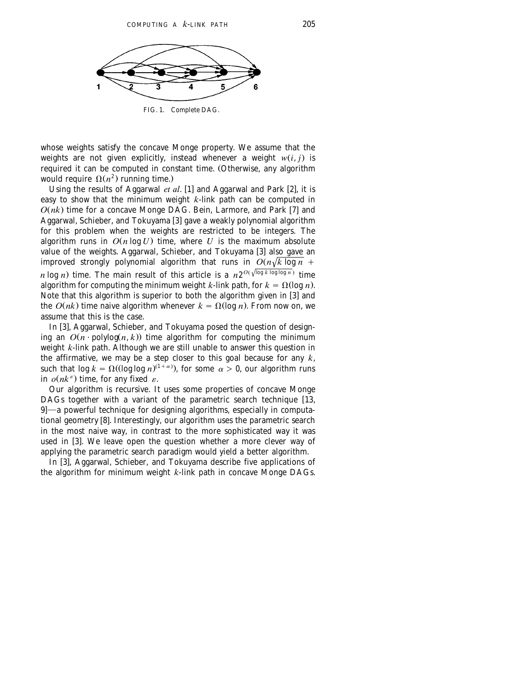<span id="page-1-0"></span>

FIG. 1. Complete DAG.

whose weights satisfy the concave Monge property. We assume that the weights are not given explicitly, instead whenever a weight  $w(i, j)$  is required it can be computed in constant time. (Otherwise, any algorithm would require  $\Omega(n^2)$  running time.)

Using the results of Aggarwal *et al.* [1] and Aggarwal and Park [2], it is easy to show that the minimum weight *k*-link path can be computed in  $O(nk)$  time for a concave Monge DAG. Bein, Larmore, and Park [7] and Aggarwal, Schieber, and Tokuyama [3] gave a weakly polynomial algorithm for this problem when the weights are restricted to be integers. The algorithm runs in  $O(n \log U)$  time, where *U* is the maximum absolute value of the weights. Aggarwal, Schieber, and Tokuyama [3] also gave an improved strongly polynomial algorithm that runs in  $O(n\sqrt{k \log n})$ *n* log *n*) time. The main result of this article is a  $n2^{O(\sqrt{\log k \log \log n})}$  time algorithm for computing the minimum weight *k*-link path, for  $k = \Omega(\log n)$ . Note that this algorithm is superior to both the algorithm given in  $[3]$  and the  $O(nk)$  time naive algorithm whenever  $k = \Omega(\log n)$ . From now on, we assume that this is the case.

In [3], Aggarwal, Schieber, and Tokuyama posed the question of designing an  $O(n^2)$  polylog $(n, k)$  time algorithm for computing the minimum weight *k*-link path. Although we are still unable to answer this question in the affirmative, we may be a step closer to this goal because for any *k*, such that  $\log k = \Omega((\log \log n)^{(1+\alpha)})$ , for some  $\alpha > 0$ , our algorithm runs in  $o(nk^{\epsilon})$  time, for any fixed  $\varepsilon$ .

Our algorithm is recursive. It uses some properties of concave Monge DAGs together with a variant of the parametric search technique  $[13, 12]$ [9](#page-17-0)]—a powerful technique for designing algorithms, especially in computational geometry [8]. Interestingly, our algorithm uses the parametric search in the most naive way, in contrast to the more sophisticated way it was used in [3]. We leave open the question whether a more clever way of applying the parametric search paradigm would yield a better algorithm.

In  $[3]$ , Aggarwal, Schieber, and Tokuyama describe five applications of the algorithm for minimum weight *k*-link path in concave Monge DAGs.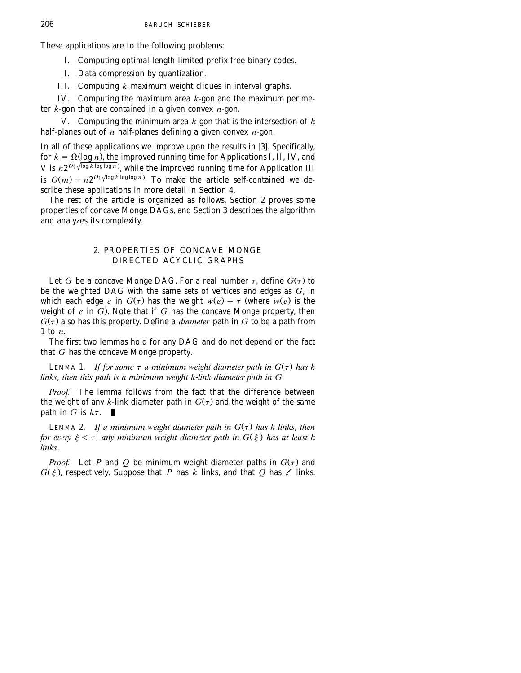These applications are to the following problems:

I. Computing optimal length limited prefix free binary codes.

II. Data compression by quantization.

III. Computing *k* maximum weight cliques in interval graphs.

IV. Computing the maximum area *k*-gon and the maximum perimeter *k*-gon that are contained in a given convex *n*-gon.

V. Computing the minimum area *k*-gon that is the intersection of *k* half-planes out of *n* half-planes defining a given convex *n*-gon.

In all of these applications we improve upon the results in [3]. Specifically, for  $k = \Omega(\log n)$ , the improved running time for Applications I, II, IV, and *V* is  $n2^{O(\sqrt{\log k \log \log n})}$ , while the improved running time for Application III is  $O(m) + n2^{O(\sqrt{\log k \log \log n})}$ . To make the article self-contained we de-scribe these applications in more detail in [Section 4.](#page-14-0)

The rest of the article is organized as follows. Section 2 proves some properties of concave Monge DAGs, and [Section 3](#page-7-0) describes the algorithm and analyzes its complexity.

## 2. PROPERTIES OF CONCAVE MONGE DIRECTED ACYCLIC GRAPHS

Let *G* be a concave Monge DAG. For a real number  $\tau$ , define  $G(\tau)$  to be the weighted DAG with the same sets of vertices and edges as *G*, in which each edge *e* in  $G(\tau)$  has the weight  $w(e) + \tau$  (where  $w(e)$  is the weight of *e* in *G*.. Note that if *G* has the concave Monge property, then  $G(\tau)$  also has this property. Define a *diameter* path in *G* to be a path from 1 to *n*.

The first two lemmas hold for any DAG and do not depend on the fact that *G* has the concave Monge property.

LEMMA 1. *If for some*  $\tau$  *a minimum weight diameter path in*  $G(\tau)$  *has k links*, *then this path is a minimum weight k*-*link diameter path in G*.

*Proof.* The lemma follows from the fact that the difference between the weight of any *k*-link diameter path in  $G(\tau)$  and the weight of the same path in G is  $k\tau$ .

LEMMA 2. If a minimum weight diameter path in  $G(\tau)$  has k links, then *for every*  $\xi < \tau$ , *any minimum weight diameter path in*  $G(\xi)$  *has at least k links*.

*Proof.* Let P and Q be minimum weight diameter paths in  $G(\tau)$  and  $G(\xi)$ , respectively. Suppose that *P* has *k* links, and that *Q* has  $\ell$  links.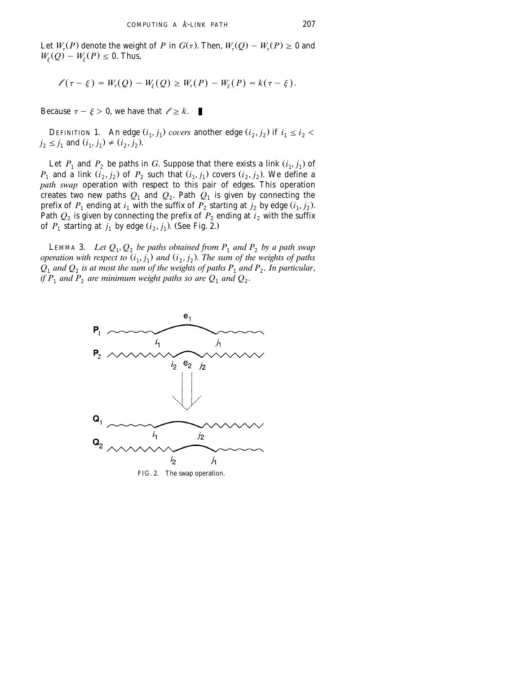Let  $W_\tau(P)$  denote the weight of *P* in  $G(\tau)$ . Then,  $W_\tau(Q) - W_\tau(P) \ge 0$  and  $W_{\varepsilon}(Q) - W_{\varepsilon}(P) \leq 0$ . Thus,

$$
\ell(\tau - \xi) = W_{\tau}(Q) - W_{\xi}(Q) \geq W_{\tau}(P) - W_{\xi}(P) = k(\tau - \xi).
$$

Because  $\tau - \xi > 0$ , we have that  $\ell \geq k$ . - 1

DEFINITION 1. An edge  $(i_1, j_1)$  covers another edge  $(i_2, j_2)$  if  $i_1 \leq i_2$  $j_2 \leq j_1$  and  $(i_1, j_1) \neq (i_2, j_2)$ .

Let  $P_1$  and  $P_2$  be paths in *G*. Suppose that there exists a link  $(i_1, j_1)$  of  $P_1$  and a link  $(i_2, j_2)$  of  $P_2$  such that  $(i_1, j_1)$  covers  $(i_2, j_2)$ . We define a *path swap* operation with respect to this pair of edges. This operation creates two new paths  $Q_1$  and  $Q_2$ . Path  $Q_1$  is given by connecting the prefix of  $P_1$  ending at  $i_1$  with the suffix of  $P_2$  starting at  $j_2$  by edge  $(i_1, j_2)$ . Path  $Q_2$  is given by connecting the prefix of  $P_2$  ending at  $i_2$  with the suffix of  $P_1$  starting at  $j_1$  by edge  $(i_2, j_1)$ . (See Fig. 2.)

LEMMA 3. *Let*  $Q_1, Q_2$  *be paths obtained from*  $P_1$  *and*  $P_2$  *by a path swap operation with respect to*  $(i_1, j_1)$  *and*  $(i_2, j_2)$ *. The sum of the weights of paths*  $Q_1$  and  $Q_2$  is at most the sum of the weights of paths  $P_1$  and  $P_2$ . In particular, *if*  $P_1$  and  $P_2$  are minimum weight paths so are  $Q_1$  and  $Q_2$ .



FIG. 2. The swap operation.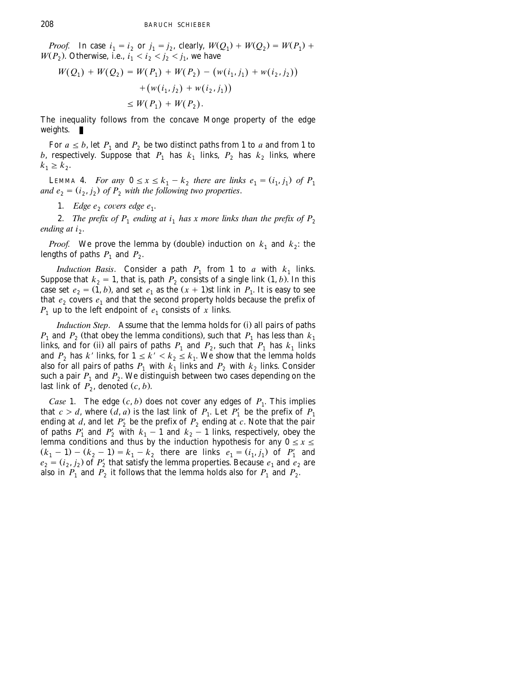*Proof.* In case  $i_1 = i_2$  or  $j_1 = j_2$ , clearly,  $W(Q_1) + W(Q_2) = W(P_1) +$  $W(P_2)$ . Otherwise, i.e.,  $i_1 < i_2 < j_2 < j_1$ , we have

$$
W(Q_1) + W(Q_2) = W(P_1) + W(P_2) - (w(i_1, j_1) + w(i_2, j_2))
$$
  
+ 
$$
(w(i_1, j_2) + w(i_2, j_1))
$$
  
\$\leq\$ W(P<sub>1</sub>) + W(P<sub>2</sub>).

The inequality follows from the concave Monge property of the edge weights.  $\mathbf{r}$ 

For  $a \leq b$ , let  $P_1$  and  $P_2$  be two distinct paths from 1 to *a* and from 1 to *b*, respectively. Suppose that  $P_1$  has  $k_1$  links,  $P_2$  has  $k_2$  links, where  $k_1 \geq k_2$ .

LEMMA 4. *For any*  $0 \le x \le k_1 - k_2$  *there are links e<sub>1</sub>* =  $(i_1, j_1)$  *of P<sub>1</sub>* and  $e_2 = (i_2, i_2)$  of  $P_2$  with the following two properties.

1. *Edge e*, covers edge e<sub>1</sub>.

2. *The prefix of*  $P_1$  *ending at i<sub>1</sub> has x more links than the prefix of*  $P_2$ *ending at i<sub>2</sub>*.

*Proof.* We prove the lemma by (double) induction on  $k_1$  and  $k_2$ : the lengths of paths  $P_1$  and  $P_2$ .

*Induction Basis*. Consider a path  $P_1$  from 1 to *a* with  $k_1$  links. Suppose that  $k_2 = 1$ , that is, path  $P_2$  consists of a single link  $(1, b)$ . In this case set  $e_2 = (1, b)$ , and set  $e_1$  as the  $(x + 1)$ st link in  $P_1$ . It is easy to see that  $e_2$  covers  $e_1$  and that the second property holds because the prefix of  $P_1$  up to the left endpoint of  $e_1$  consists of *x* links.

*Induction Step.* Assume that the lemma holds for (i) all pairs of paths  $P_1$  and  $P_2$  (that obey the lemma conditions), such that  $P_1$  has less than  $k_1$ links, and for (ii) all pairs of paths  $P_1$  and  $P_2$ , such that  $P_1$  has  $k_1$  links and  $P_2$  has  $k'$  links, for  $1 \leq k' < k_2 \leq k_1$ . We show that the lemma holds also for all pairs of paths  $P_1$  with  $k_1$  links and  $P_2$  with  $k_2$  links. Consider such a pair  $P_1$  and  $P_2$ . We distinguish between two cases depending on the last link of  $P_2$ , denoted  $(c, b)$ .

*Case* 1. The edge  $(c, b)$  does not cover any edges of  $P_1$ . This implies that  $c > d$ , where  $(d, a)$  is the last link of  $P_1$ . Let  $P'_1$  be the prefix of  $P_1$ ending at *d*, and let  $P'_2$  be the prefix of  $P_2$  ending at *c*. Note that the pair of paths  $P'_1$  and  $P'_2$  with  $k_1 - 1$  and  $k_2 - 1$  links, respectively, obey the lemma conditions and thus by the induction hypothesis for any  $0 \le x \le$  $(k_1 - 1) - (k_2 - 1) = k_1 - k_2$  there are links  $e_1 = (i_1, j_1)$  of  $P'_1$  and  $e_2 = (i_2, i_2)$  of  $P'_2$  that satisfy the lemma properties. Because  $e_1$  and  $e_2$  are also in  $P_1$  and  $P_2$  it follows that the lemma holds also for  $P_1$  and  $P_2$ .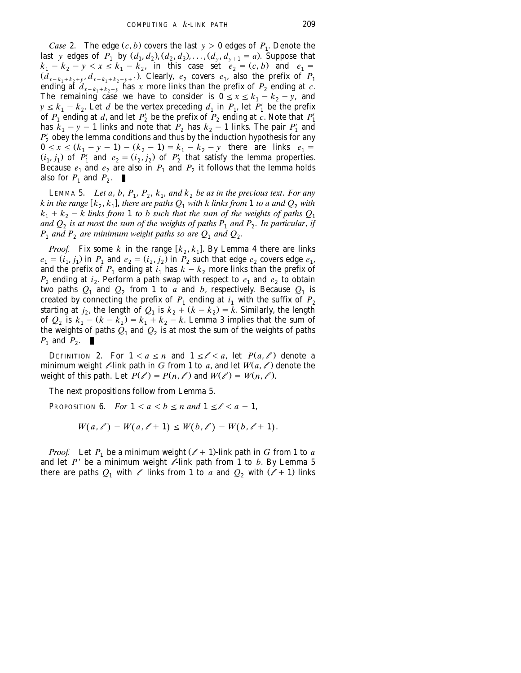*Case* 2. The edge  $(c, b)$  covers the last  $y > 0$  edges of  $P_1$ . Denote the last *y* edges of  $P_1$  by  $(d_1, d_2), (d_2, d_3), \ldots, (d_v, d_{v+1} = a)$ . Suppose that  $k_1 - k_2 - y < x \le k_1 - k_2$ , in this case set  $e_2 = (c, b)$  and  $e_1 =$  $(d_{x-k_1+k_2+y}, d_{x-k_1+k_2+y+1})$ . Clearly,  $e_2$  covers  $e_1$ , also the prefix of  $P_1$ ending at  $d_{x-k_1+k_2+y}$  has *x* more links than the prefix of  $P_2$  ending at  $c$ . The remaining case we have to consider is  $0 \le x \le k_1 - k_2 - y$ , and  $y \leq k_1 - k_2$ . Let *d* be the vertex preceding  $d_1$  in  $P_1$ , let  $P'_1$  be the prefix of  $P_1$  ending at *d*, and let  $P'_2$  be the prefix of  $P_2$  ending at *c*. Note that  $P'_1$ has  $k_1 - y - 1$  links and note that  $P_2$  has  $k_2 - 1$  links. The pair  $P'_1$  and  $P'_{2}$  obey the lemma conditions and thus by the induction hypothesis for any  $0 \le x \le (k_1 - y - 1) - (k_2 - 1) = k_1 - k_2 - y$  there are links  $e_1 =$  $(i_1, j_1)$  of  $P'_1$  and  $e_2 = (i_2, j_2)$  of  $P'_2$  that satisfy the lemma properties. Because  $e_1$  and  $e_2$  are also in  $P_1$  and  $P_2$  it follows that the lemma holds also for  $P_1$  and  $P_2$ .

LEMMA 5. *Let a*, *b*,  $P_1$ ,  $P_2$ ,  $k_1$ , and  $k_2$  be as in the previous text. For any *k* in the range  $[k_2, k_1]$ , there are paths  $Q_1$  with k links from 1 to a and  $Q_2$  with  $k_1 + k_2 - k$  links from 1 to b such that the sum of the weights of paths  $Q_1$ and  $Q_2$  is at most the sum of the weights of paths  $P_1$  and  $P_2$ . In particular, if  $P_1$  and  $P_2$  are minimum weight paths so are  $Q_1$  and  $Q_2$ .

*Proof.* Fix some *k* in the range  $[k_2, k_1]$ . By Lemma 4 there are links  $e_1 = (i_1, j_1)$  in  $P_1$  and  $e_2 = (i_2, j_2)$  in  $P_2$  such that edge  $e_2$  covers edge  $e_1$ , and the prefix of  $P_1$  ending at  $i_1$  has  $k - k_2$  more links than the prefix of  $P_2$  ending at *i*<sub>2</sub>. Perform a path swap with respect to  $e_1$  and  $e_2$  to obtain two paths  $Q_1$  and  $Q_2$  from 1 to *a* and *b*, respectively. Because  $Q_1$  is created by connecting the prefix of  $P_1$  ending at  $i_1$  with the suffix of  $P_2$ starting at  $j_2$ , the length of  $Q_1$  is  $k_2 + (k - \tilde{k_2}) = \tilde{k}$ . Similarly, the length of  $Q_2$  is  $k_1 - (k - k_2) = k_1 + k_2 - k$ . Lemma 3 implies that the sum of the weights of paths  $Q_1$  and  $Q_2$  is at most the sum of the weights of paths  $P_1$  and  $P_2$ .

DEFINITION 2. For  $1 < a \le n$  and  $1 \le l < a$ , let  $P(a, l')$  denote a minimum weight  $\ell$ -link path in *G* from 1 to *a*, and let  $W(a, \ell)$  denote the weight of this path. Let  $P(\ell) = P(n, \ell)$  and  $W(\ell) = W(n, \ell)$ .

The next propositions follow from Lemma 5.

PROPOSITION 6. *For*  $1 < a < b \le n$  *and*  $1 \le l < a - 1$ ,

$$
W(a, \ell') - W(a, \ell + 1) \leq W(b, \ell') - W(b, \ell + 1).
$$

*Proof.* Let  $P_1$  be a minimum weight  $(\ell + 1)$ -link path in *G* from 1 to *a* and let  $P'$  be a minimum weight  $\ell$ -link path from 1 to *b*. By Lemma 5 there are paths  $Q_1$  with  $\ell$  links from 1 to *a* and  $Q_2$  with  $(\ell + 1)$  links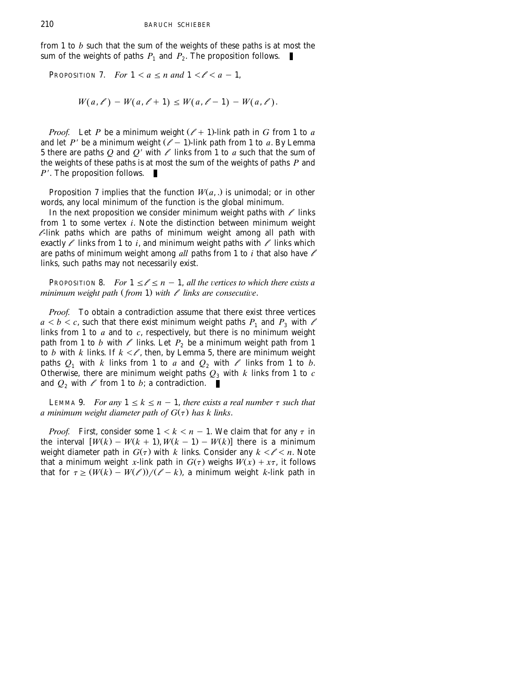from 1 to *b* such that the sum of the weights of these paths is at most the sum of the weights of paths  $P_1$  and  $P_2$ . The proposition follows.  $\blacksquare$ 

PROPOSITION 7. *For*  $1 < a \le n$  *and*  $1 < l < a - 1$ ,

$$
W(a, \ell) - W(a, \ell + 1) \leq W(a, \ell - 1) - W(a, \ell).
$$

*Proof.* Let *P* be a minimum weight  $(\ell + 1)$ -link path in *G* from 1 to *a* and let  $P'$  be a minimum weight  $(\ell - 1)$ -link path from 1 to *a*. By Lemma 5 there are paths  $Q$  and  $Q'$  with  $\ell$  links from 1 to  $a$  such that the sum of the weights of these paths is at most the sum of the weights of paths  $P$  and *P'*. The proposition follows.  $\blacksquare$ 

Proposition 7 implies that the function  $W(a, .)$  is unimodal; or in other words, any local minimum of the function is the global minimum.

In the next proposition we consider minimum weight paths with  $\ell$  links from 1 to some vertex *i*. Note the distinction between minimum weight  $\ell$ -link paths which are paths of minimum weight among all path with exactly  $\ell$  links from 1 to *i*, and minimum weight paths with  $\ell$  links which are paths of minimum weight among *all* paths from 1 to *i* that also have *l* links, such paths may not necessarily exist.

PROPOSITION 8. *For*  $1 \le l \le n - 1$ , *all the vertices to which there exists a minimum weight path* (*from* 1) *with*  $\ell$  *links are consecutive.* 

*Proof.* To obtain a contradiction assume that there exist three vertices  $a < b < c$ , such that there exist minimum weight paths  $P_1$  and  $P_3$  with  $\ell$ links from 1 to *a* and to *c*, respectively, but there is no minimum weight path from 1 to *b* with  $\ell$  links. Let  $P_2$  be a minimum weight path from 1 to  $b$  with  $k$  links. If  $k < \ell$  , then, by Lemma 5, there are minimum weight paths  $Q_1$  with  $k$  links from 1 to  $a$  and  $Q_2$  with  $\ell$  links from 1 to  $b$ . Otherwise, there are minimum weight paths  $Q_3$  with  $k$  links from 1 to  $c$ and  $Q_2$  with  $\ell$  from 1 to *b*; a contradiction.

LEMMA 9. *For any*  $1 \leq k \leq n - 1$ , *there exists a real number*  $\tau$  *such that a minimum weight diameter path of*  $G(\tau)$  *has k links.* 

*Proof.* First, consider some  $1 < k < n - 1$ . We claim that for any  $\tau$  in the interval  $[W(k) - W(k + 1), W(k - 1) - W(k)]$  there is a minimum weight diameter path in  $G(\tau)$  with  $k$  links. Consider any  $k \leq \ell \leq n$ . Note that a minimum weight *x*-link path in  $G(\tau)$  weighs  $W(x) + x\tau$ , it follows that for  $\tau \ge (W(k) - W(\ell))/(\ell - k)$ , a minimum weight *k*-link path in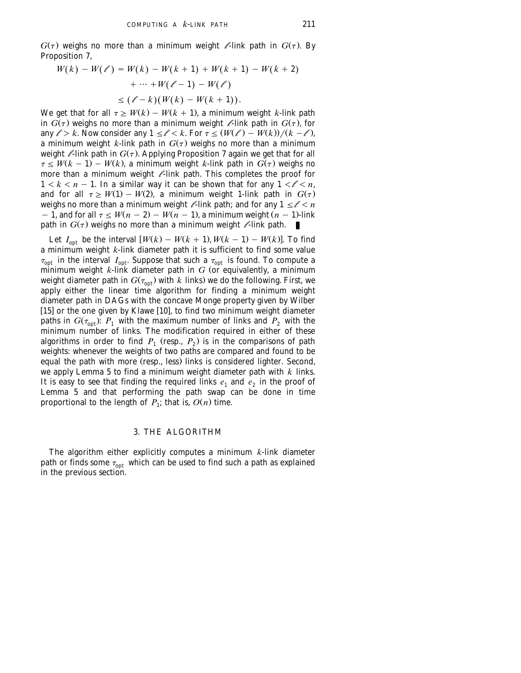<span id="page-7-0"></span> $G(\tau)$  weighs no more than a minimum weight *l*-link path in  $G(\tau)$ . By Proposition 7,

$$
W(k) - W(\ell') = W(k) - W(k+1) + W(k+1) - W(k+2)
$$
  
+ ... + W(\ell-1) - W(\ell)  

$$
\leq (\ell - k)(W(k) - W(k+1)).
$$

We get that for all  $\tau \geq W(k) - W(k + 1)$ , a minimum weight *k*-link path in  $G(\tau)$  weighs no more than a minimum weight *l*-link path in  $G(\tau)$ , for any  $\ell > k$ . Now consider any  $1 \leq \ell < k$ . For  $\tau \leq (W(\ell) - W(k))/(k - \ell)$ , a minimum weight *k*-link path in  $G(\tau)$  weighs no more than a minimum weight  $\ell$ -link path in  $G(\tau)$ . Applying Proposition 7 again we get that for all  $\tau \leq W(k-1) - W(k)$ , a minimum weight *k*-link path in  $G(\tau)$  weighs no more than a minimum weight  $\ell$ -link path. This completes the proof for  $1 < k < n - 1$ . In a similar way it can be shown that for any  $1 < l < n$ , and for all  $\tau \geq W(1) - W(2)$ , a minimum weight 1-link path in  $G(\tau)$ weighs no more than a minimum weight  $\ell$ -link path; and for any  $1 \leq \ell < n$ - 1, and for all  $\tau \leq W(n-2) - W(n-1)$ , a minimum weight  $(n-1)$ -link path in  $G(\tau)$  weighs no more than a minimum weight  $\ell$ -link path.

Let  $I_{\text{ont}}$  be the interval  $[W(k) - W(k + 1), W(k - 1) - W(k)]$ . To find a minimum weight *k*-link diameter path it is sufficient to find some value  $\tau_{\rm opt}$  in the interval  $I_{\rm opt}$ . Suppose that such a  $\tau_{\rm opt}$  is found. To compute a minimum weight  $k$ -link diameter path in  $G$  (or equivalently, a minimum weight diameter path in  $G(\tau_{\text{out}})$  with *k* links) we do the following. First, we apply either the linear time algorithm for finding a minimum weight diameter path in DAGs with the concave Monge property given by Wilber [15] or the one given by Klawe [10], to find two minimum weight diameter paths in  $G(\tau_{\text{opt}})$ :  $P_1$  with the maximum number of links and  $P_2$  with the minimum number of links. The modification required in either of these algorithms in order to find  $P_1$  (resp.,  $P_2$ ) is in the comparisons of path weights: whenever the weights of two paths are compared and found to be equal the path with more (resp., less) links is considered lighter. Second, we apply Lemma 5 to find a minimum weight diameter path with *k* links. It is easy to see that finding the required links  $e_1$  and  $e_2$  in the proof of Lemma 5 and that performing the path swap can be done in time proportional to the length of  $P_1$ ; that is,  $O(n)$  time.

### 3. THE ALGORITHM

The algorithm either explicitly computes a minimum *k*-link diameter path or finds some  $\tau_{\text{opt}}$  which can be used to find such a path as explained in the previous section.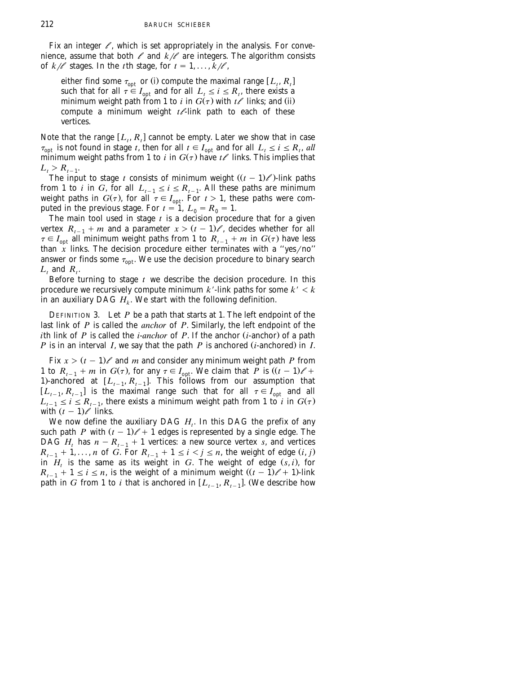Fix an integer  $\ell$ , which is set appropriately in the analysis. For convenience, assume that both  $\ell$  and  $k\ell$  are integers. The algorithm consists of  $k/\ell$  stages. In the *t*th stage, for  $t = 1, \ldots, k/\ell$ ,

either find some  $\tau_{\text{ont}}$  or (i) compute the maximal range  $[L_t, R_t]$ such that for all  $\tau \in I_{\text{out}}$  and for all  $L_t \leq i \leq R_t$ , there exists a minimum weight path from 1 to *i* in  $G(\tau)$  with  $t\ell$  links; and (ii) compute a minimum weight  $t \ell$ -link path to each of these vertices.

Note that the range  $[L_i, R_i]$  cannot be empty. Later we show that in case  $\tau_{\text{out}}$  is not found in stage *t*, then for all  $t \in I_{\text{out}}$  and for all  $L_t \le i \le R_t$ , all minimum weight paths from 1 to *i* in  $G(\tau)$  have  $t\ell$  links. This implies that  $L_t > R_{t-1}$ .

The input to stage *t* consists of minimum weight  $((t - 1)/\ell)$ -link paths from 1 to *i* in *G*, for all  $L_{t-1} \le i \le R_{t-1}$ . All these paths are minimum weight paths in  $G(\tau)$ , for all  $\tau \in I_{\text{out}}$ . For  $t > 1$ , these paths were computed in the previous stage. For  $t = 1$ ,  $L_0 = R_0 = 1$ .

The main tool used in stage *t* is a decision procedure that for a given vertex  $R_{t-1} + m$  and a parameter  $x > (t-1)\ell$ , decides whether for all  $\tau \in I_{\text{opt}}$  all minimum weight paths from 1 to  $R_{t-1} + m$  in  $G(\tau)$  have less than  $\overline{x}$  links. The decision procedure either terminates with a "yes/no" answer or finds some  $\tau_{\text{out}}$ . We use the decision procedure to binary search  $L_t$  and  $R_t$ .

Before turning to stage *t* we describe the decision procedure. In this procedure we recursively compute minimum  $k'$ -link paths for some  $k' < k$ in an auxiliary DAG  $H_k$ . We start with the following definition.

DEFINITION 3. Let  $P$  be a path that starts at 1. The left endpoint of the last link of *P* is called the *anchor* of *P*. Similarly, the left endpoint of the *i*th link of *P* is called the *i*-*anchor* of *P*. If the anchor  $(i$ -anchor) of a path *P* is in an interval *I*, we say that the path *P* is anchored  $(i$ -anchored) in *I*.

Fix  $x > (t - 1)$  and *m* and consider any minimum weight path *P* from 1 to  $R_{t-1} + m$  in  $G(\tau)$ , for any  $\tau \in I_{\text{out}}$ . We claim that *P* is  $((t-1)\ell +$ 1)-anchored at  $[L_{t-1}, R_{t-1}]$ . This follows from our assumption that  $[L_{t-1}, R_{t-1}]$  is the maximal range such that for all  $\tau \in I_{\text{opt}}$  and all  $L_{t-1} \le i \le R_{t-1}$ , there exists a minimum weight path from 1 to *i* in  $G(\tau)$ with  $(t - 1)$  links.

We now define the auxiliary DAG  $H_t$ . In this DAG the prefix of any such path *P* with  $(t - 1)$  + 1 edges is represented by a single edge. The DAG  $H_t$  has  $n - R_{t-1} + 1$  vertices: a new source vertex *s*, and vertices  $R_{i-1} + 1, ..., n$  of *G*. For  $R_{i-1} + 1 \le i \le j \le n$ , the weight of edge  $(i, j)$ in  $H_t$  is the same as its weight in *G*. The weight of edge  $(s, i)$ , for  $R_{t-1} + 1 \le i \le n$ , is the weight of a minimum weight  $((t - 1)\ell + 1)$ -link path in *G* from 1 to *i* that is anchored in  $[L_{t-1}, R_{t-1}]$ . (We describe how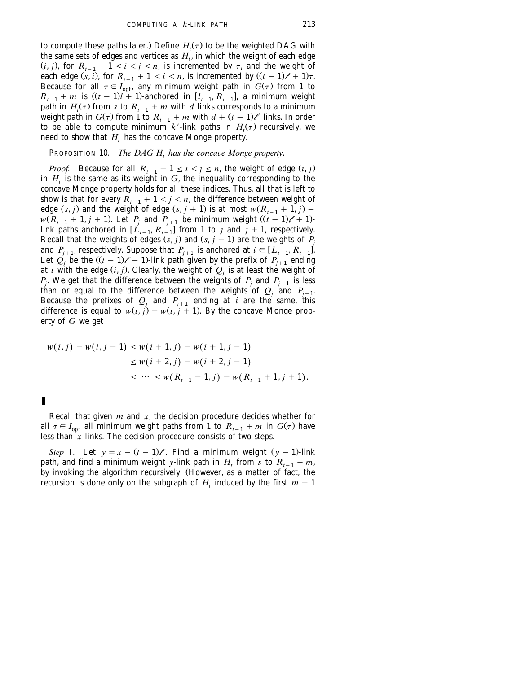to compute these paths later.) Define  $H_t(\tau)$  to be the weighted DAG with the same sets of edges and vertices as  $H_t$ , in which the weight of each edge  $(i, j)$ , for  $R_{i-1} + \tilde{1} \leq i \leq j \leq n$ , is incremented by  $\tau$ , and the weight of each edge  $(s, i)$ , for  $R_{t-1} + 1 \le i \le n$ , is incremented by  $((t - 1) \ell + 1) \tau$ . Because for all  $\tau \in I_{\text{out}}$ , any minimum weight path in  $G(\tau)$  from 1 to  $R_{t-1} + m$  is  $((t-1)l + 1)$ -anchored in  $[l_{t-1}, R_{t-1}]$ , a minimum weight path in  $H_t(\tau)$  from *s* to  $R_{t-1} + m$  with *d* links corresponds to a minimum weight path in  $G(\tau)$  from 1 to  $R_{t-1} + m$  with  $d + (t-1)\ell$  links. In order to be able to compute minimum  $k'$ -link paths in  $H_i(\tau)$  recursively, we need to show that  $H_t$  has the concave Monge property.

PROPOSITION 10. *The DAG H<sub>t</sub> has the concave Monge property.* 

*Proof.* Because for all  $R_{i-1} + 1 \leq i \leq j \leq n$ , the weight of edge  $(i, j)$ in  $H$ , is the same as its weight in  $G$ , the inequality corresponding to the concave Monge property holds for all these indices. Thus, all that is left to show is that for every  $R_{t-1} + 1 < j < n$ , the difference between weight of edge  $(s, j)$  and the weight of edge  $(s, j + 1)$  is at most  $w(R_{t-1} + 1, j)$  –  $w(R_{t-1} + 1, j + 1)$ . Let  $P_i$  and  $P_{i+1}$  be minimum weight  $((t - 1) \ell + 1)$ link paths anchored in  $[L_{t-1}, R_{t-1}]$  from 1 to *j* and  $j + 1$ , respectively. Recall that the weights of edges  $(s, j)$  and  $(s, j + 1)$  are the weights of  $P_j$ and  $P_{i+1}$ , respectively. Suppose that  $P_{i+1}$  is anchored at  $i \in [L_{i-1}, R_{i-1}]$ . Let  $Q_i$  be the  $((t - 1)\ell + 1)$ -link path given by the prefix of  $P_{i+1}$  ending at *i* with the edge  $(i, j)$ . Clearly, the weight of  $Q_i$  is at least the weight of *P<sub>i</sub>*. We get that the difference between the weights of  $P_i$  and  $P_{i+1}$  is less than or equal to the difference between the weights of  $Q_i$  and  $P_{i+1}$ . Because the prefixes of  $Q_j$  and  $P_{j+1}$  ending at *i* are the same, this difference is equal to  $w(i, j) - w(i, j + 1)$ . By the concave Monge property of *G* we get

$$
w(i, j) - w(i, j + 1) \le w(i + 1, j) - w(i + 1, j + 1)
$$
  
\n
$$
\le w(i + 2, j) - w(i + 2, j + 1)
$$
  
\n
$$
\le \cdots \le w(R_{i-1} + 1, j) - w(R_{i-1} + 1, j + 1).
$$

П

Recall that given *m* and *x*, the decision procedure decides whether for all  $\tau \in I_{\text{out}}$  all minimum weight paths from 1 to  $R_{t-1} + m$  in  $G(\tau)$  have less than  $x$  links. The decision procedure consists of two steps.

*Step* I. Let  $y = x - (t - 1)$ . Find a minimum weight  $(y - 1)$ -link path, and find a minimum weight *y*-link path in  $H_t$  from *s* to  $R_{t-1} + m$ , by invoking the algorithm recursively. (However, as a matter of fact, the recursion is done only on the subgraph of  $H_t$  induced by the first  $m + 1$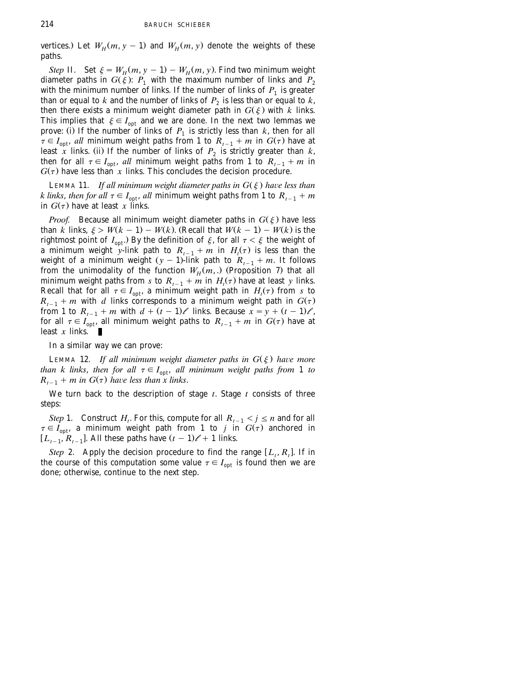vertices.) Let  $W_H(m, y - 1)$  and  $W_H(m, y)$  denote the weights of these paths.

*Step* II. Set  $\xi = W_H(m, y - 1) - W_H(m, y)$ . Find two minimum weight diameter paths in  $G(\xi)$ :  $P_1$  with the maximum number of links and  $P_2$ with the minimum number of links. If the number of links of  $P_1$  is greater than or equal to  $k$  and the number of links of  $P_2$  is less than or equal to  $k$ , then there exists a minimum weight diameter path in  $G(\xi)$  with *k* links. This implies that  $\xi \in I_{\text{out}}$  and we are done. In the next two lemmas we prove: (i) If the number of links of  $P_1$  is strictly less than  $k$ , then for all  $\tau \in I_{\text{out}}$ , *all* minimum weight paths from 1 to  $R_{t-1} + m$  in  $G(\tau)$  have at least *x* links. (ii) If the number of links of  $P_2$  is strictly greater than *k*, then for all  $\tau \in I_{\text{out}}$ , *all* minimum weight paths from 1 to  $R_{t-1} + m$  in  $G(\tau)$  have less than *x* links. This concludes the decision procedure.

LEMMA 11. *If all minimum weight diameter paths in*  $G(\xi)$  *have less than k links, then for all*  $\tau \in I_{\text{opt}}$ , *all* minimum weight paths from 1 to  $R_{t-1} + m$ in  $G(\tau)$  have at least *x* links.

*Proof.* Because all minimum weight diameter paths in  $G(\xi)$  have less than *k* links,  $\xi > W(k-1) - W(k)$ . (Recall that  $W(k-1) - W(k)$  is the rightmost point of  $I_{\text{out}}$ .) By the definition of  $\xi$ , for all  $\tau < \xi$  the weight of a minimum weight *y*-link path to  $R_{t-1} + m$  in  $H_t(\tau)$  is less than the weight of a minimum weight  $(y - 1)$ -link path to  $R_{t-1} + m$ . It follows from the unimodality of the function  $W_H(m,.)$  (Proposition 7) that all minimum weight paths from *s* to  $R_{t-1} + m$  in  $H_t(\tau)$  have at least *y* links. Recall that for all  $\tau \in I_{\text{opt}}$ , a minimum weight path in  $H_t(\tau)$  from *s* to  $R_{t-1}$  + *m* with *d* links corresponds to a minimum weight path in  $G(\tau)$ from 1 to  $R_{t-1}$  + *m* with  $d + (t-1)$  links. Because  $x = y + (t-1)$ , for all  $\tau \in I_{\text{opt}}$ , all minimum weight paths to  $R_{t-1} + m$  in  $G(\tau)$  have at least *x* links. П

In a similar way we can prove:

LEMMA 12. *If all minimum weight diameter paths in*  $G(\xi)$  *have more than k links, then for all*  $\tau \in I_{\text{opt}}$ *, all minimum weight paths from* 1 *to*  $R_{t-1}$  + *m* in  $G(\tau)$  have less than x links.

We turn back to the description of stage *t*. Stage *t* consists of three steps:

*Step* 1. Construct *H<sub>t</sub>*. For this, compute for all  $R_{t-1} < j \le n$  and for all  $\tau \in I_{\text{out}}$ , a minimum weight path from 1 to *j* in  $G(\tau)$  anchored in  $[L_{t-1}, R_{t-1}]$ . All these paths have  $(t-1)\ell + 1$  links.

*Step* 2. Apply the decision procedure to find the range  $[L_t, R_t]$ . If in the course of this computation some value  $\tau \in I_{opt}$  is found then we are done; otherwise, continue to the next step.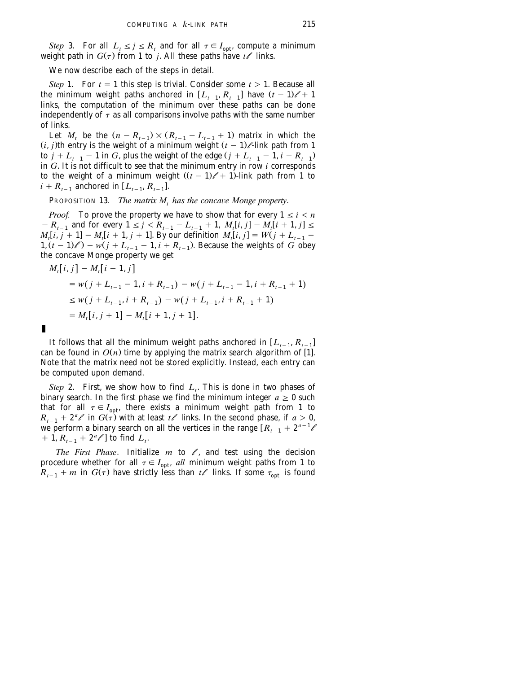*Step* 3. For all  $L_t \le j \le R_t$  and for all  $\tau \in I_{\text{opt}}$ , compute a minimum weight path in  $G(\tau)$  from 1 to *j*. All these paths have  $t\ell$  links.

We now describe each of the steps in detail.

П

*Step* 1. For  $t = 1$  this step is trivial. Consider some  $t > 1$ . Because all the minimum weight paths anchored in  $[L_{t-1}, R_{t-1}]$  have  $(t-1)\ell + 1$ links, the computation of the minimum over these paths can be done independently of  $\tau$  as all comparisons involve paths with the same number of links.

Let *M*, be the  $(n - R_{t-1}) \times (R_{t-1} - L_{t-1} + 1)$  matrix in which the  $(i, j)$ th entry is the weight of a minimum weight  $(t - 1)$ /-link path from 1 to  $j + L_{t-1} - 1$  in *G*, plus the weight of the edge  $(j + L_{t-1} - 1, i + R_{t-1})$ in *G*. It is not difficult to see that the minimum entry in row *i* corresponds to the weight of a minimum weight  $((t - 1) \ell + 1)$ -link path from 1 to  $i + R_{i-1}$  anchored in  $[L_{i-1}, R_{i-1}]$ .

PROPOSITION 13. *The matrix M, has the concave Monge property.* 

*Proof.* To prove the property we have to show that for every  $1 \le i \le n$  $-R_{t-1}$  and for every  $1 \leq j \leq R_{t-1} - L_{t-1} + 1$ ,  $M_t[i, j] - M_t[i + 1, j] \leq$  $M_i[i, j + 1] - M_i[i + 1, j + 1]$ . By our definition  $M_i[i, j] = W(j + L_{i-1} 1, (t - 1) \ell$  +  $w(j + L_{t-1} - 1, i + R_{t-1})$ . Because the weights of *G* obey the concave Monge property we get

$$
M_{t}[i, j] - M_{t}[i + 1, j]
$$
  
=  $w(j + L_{t-1} - 1, i + R_{t-1}) - w(j + L_{t-1} - 1, i + R_{t-1} + 1)$   
 $\leq w(j + L_{t-1}, i + R_{t-1}) - w(j + L_{t-1}, i + R_{t-1} + 1)$   
=  $M_{t}[i, j + 1] - M_{t}[i + 1, j + 1].$ 

It follows that all the minimum weight paths anchored in  $[L_{t-1}, R_{t-1}]$ can be found in  $O(n)$  time by applying the matrix search algorithm of [1]. Note that the matrix need not be stored explicitly. Instead, each entry can be computed upon demand.

*Step* 2. First, we show how to find  $L_t$ . This is done in two phases of binary search. In the first phase we find the minimum integer  $a \geq 0$  such that for all  $\tau \in I_{\text{opt}}$ , there exists a minimum weight path from 1 to  $R_{t-1} + 2^a \ell$  in  $G(\tau)$  with at least  $t\ell$  links. In the second phase, if  $a > 0$ , we perform a binary search on all the vertices in the range  $R_{t-1} + 2^{a-1} \ell + 1$ ,  $R_{t+1} + 2^a \ell$  to find  $L_t$ .  $+$ **1**,  $R_{t-1}$  +  $2^a \ell$  to find  $L_t$ .

*The First Phase*. Initialize  $m$  to  $\ell$ , and test using the decision procedure whether for all  $\tau \in I_{\text{opt}}$ , *all* minimum weight paths from 1 to  $R_{t-1} + m$  in  $G(\tau)$  have strictly less than  $t \ell$  links. If some  $\tau_{\text{out}}$  is found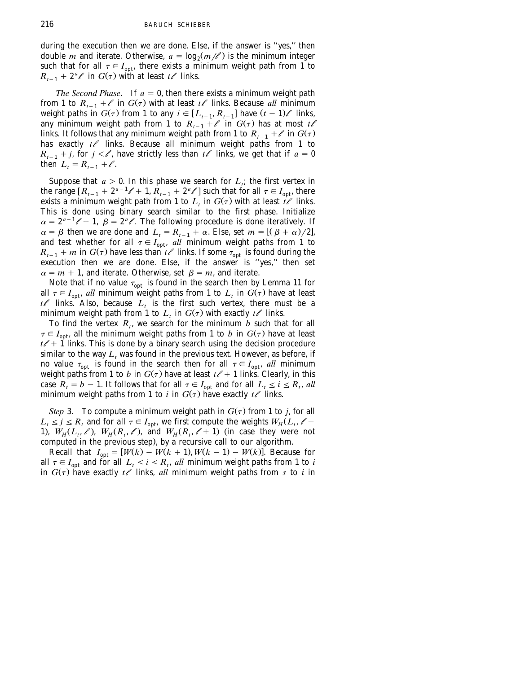during the execution then we are done. Else, if the answer is ''yes,'' then double *m* and iterate. Otherwise,  $a = \log_2(m/k)$  is the minimum integer such that for all  $\tau \in I_{\text{opt}}$ , there exists a minimum weight path from 1 to  $R_{t-1} + 2^a \ell$  in  $G(\tau)$  with at least  $t\ell$  links.

*The Second Phase.* If  $a = 0$ , then there exists a minimum weight path from 1 to  $R_{t-1} + \ell$  in  $G(\tau)$  with at least  $t\ell$  links. Because *all* minimum weight paths in  $G(\tau)$  from 1 to any  $i \in [L_{t-1}, R_{t-1}]$  have  $(t-1)$  *l* links, any minimum weight path from 1 to  $R_{i-1} + \ell$  in  $G(\tau)$  has at most  $t\ell$ links. It follows that any minimum weight path from 1 to  $R_{t-1} + \ell$  in  $G(\tau)$ has exactly  $t\ell$  links. Because all minimum weight paths from 1 to  $R_{t-1} + j$ , for  $j < l$ , have strictly less than  $t \ell$  links, we get that if  $a = 0$ then  $L_{t} = R_{t-1} + \ell$ .

Suppose that  $a > 0$ . In this phase we search for  $L_i$ ; the first vertex in the range  $[R_{t-1} + 2^{a-1} \ell + 1, R_{t-1} + 2^a \ell']$  such that for all  $\tau \in I_{\text{opt}}$ , there exists a minimum weight path from 1 to  $L_t$  in  $G(\tau)$  with at least  $t \ell$  links. This is done using binary search similar to the first phase. Initialize  $\alpha = 2^{a-1} \ell + 1$ ,  $\beta = 2^a \ell$ . The following procedure is done iteratively. If  $\alpha = \beta$  then we are done and  $L_t = R_{t-1} + \alpha$ . Else, set  $m = [(\beta + \alpha)/2]$ , and test whether for all  $\tau \in I_{\text{out}}$ , *all* minimum weight paths from 1 to  $R_{t-1}$  + *m* in  $G(\tau)$  have less than  $t\ell$  links. If some  $\tau_{\text{out}}$  is found during the execution then we are done. Else, if the answer is ''yes,'' then set  $\alpha = m + 1$ , and iterate. Otherwise, set  $\beta = m$ , and iterate.

Note that if no value  $\tau_{\text{opt}}$  is found in the search then by Lemma 11 for all  $\tau \in I_{\text{out}}$ , *all* minimum weight paths from 1 to  $L_t$  in  $G(\tau)$  have at least  $t \ell$  links. Also, because  $L_t$  is the first such vertex, there must be a minimum weight path from 1 to  $L_t$  in  $G(\tau)$  with exactly  $t\ell$  links.

To find the vertex  $R_t$ , we search for the minimum *b* such that for all  $\tau \in I_{\text{out}}$ , all the minimum weight paths from 1 to *b* in  $G(\tau)$  have at least  $t\ell + 1$  links. This is done by a binary search using the decision procedure similar to the way  $L_t$  was found in the previous text. However, as before, if no value  $\tau_{opt}$  is found in the search then for all  $\tau \in I_{opt}$ , *all* minimum weight paths from 1 to *b* in  $G(\tau)$  have at least  $t \ell + 1$  links. Clearly, in this case  $R_t = b - 1$ . It follows that for all  $\tau \in I_{\text{opt}}$  and for all  $L_t \le i \le R_t$ , all minimum weight paths from 1 to *i* in  $G(\tau)$  have exactly  $t\ell$  links.

*Step* 3. To compute a minimum weight path in  $G(\tau)$  from 1 to *j*, for all  $L_t \leq j \leq R_t$  and for all  $\tau \in I_{\text{out}}$ , we first compute the weights  $W_H(L_t, \ell -$ 1),  $W_H(L_t, \ell)$ ,  $W_H(R_t, \ell)$ , and  $W_H(R_t, \ell+1)$  (in case they were not computed in the previous step), by a recursive call to our algorithm.

Recall that  $I_{opt} = [W(k) - W(k + 1), W(k - 1) - W(k)]$ . Because for all  $\tau \in I_{opt}$  and for all  $L_t \le i \le R_t$ , *all* minimum weight paths from 1 to *i* in  $G(\tau)$  have exactly  $t\ell$  links, all minimum weight paths from  $s$  to  $i$  in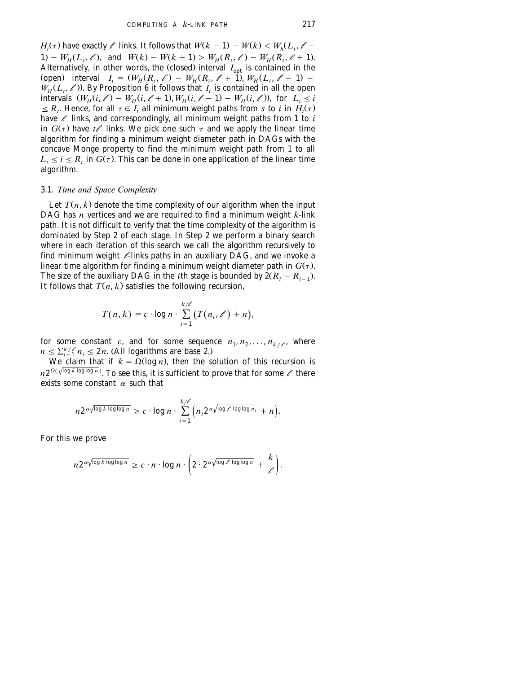*H*<sub>*t*</sub>( $\tau$ ) have exactly  $\ell$  links. It follows that  $W(k - 1) - W(k) < W_h(L_t, \ell - 1)$  $1.1 - W_{\text{H}}(L_{\text{t}}, \ell)$ , and  $W(k) - W(k+1) > W_{\text{H}}(R_{\text{t}}, \ell) - W_{\text{H}}(R_{\text{t}}, \ell+1)$ . Alternatively, in other words, the (closed) interval  $I_{\text{opt}}$  is contained in the (open) interval  $I_t = (W_H(R_t, \ell) - W_H(R_t, \ell + 1), W_H(L_t, \ell - 1) W_H(L_i, \ell)$ ). By Proposition 6 it follows that  $I_i$  is contained in all the open intervals  $(W_H(i, \ell) - W_H(i, \ell + 1), W_H(i, \ell - 1) - W_H(i, \ell))$ , for  $L_i \leq i$  $\leq R_i$ . Hence, for all  $\tau \in I_i$  all minimum weight paths from *s* to *i* in  $H_i(\tau)$ have  $\ell$  links, and correspondingly, all minimum weight paths from 1 to  $i$ in  $G(\tau)$  have  $t\ell$  links. We pick one such  $\tau$  and we apply the linear time algorithm for finding a minimum weight diameter path in DAGs with the concave Monge property to find the minimum weight path from 1 to all  $L_t \leq i \leq R$ , in  $G(\tau)$ . This can be done in one application of the linear time algorithm.

#### 3.1. *Time and Space Complexity*

Let  $T(n, k)$  denote the time complexity of our algorithm when the input DAG has *n* vertices and we are required to find a minimum weight *k*-link path. It is not difficult to verify that the time complexity of the algorithm is dominated by Step 2 of each stage. In Step 2 we perform a binary search where in each iteration of this search we call the algorithm recursively to find minimum weight */*-links paths in an auxiliary DAG, and we invoke a linear time algorithm for finding a minimum weight diameter path in  $G(\tau)$ . The size of the auxiliary DAG in the *i*th stage is bounded by  $2(R_i - R_{i-1})$ . It follows that  $T(n, k)$  satisfies the following recursion,

$$
T(n,k) = c \cdot \log n \cdot \sum_{i=1}^{k/\ell} (T(n_i,\ell') + n),
$$

for some constant *c*, and for some sequence  $n_1, n_2, \ldots, n_{k}$  *let*, where  $n \leq \sum_{i=1}^{k}/n_i \leq 2n$ . (All logarithms are base 2.)

We claim that if  $k = \Omega(\log n)$ , then the solution of this recursion is  $n2^{O(\sqrt{\log k \log \log n})}$ . To see this, it is sufficient to prove that for some  $\ell$  there exists some constant  $\alpha$  such that

$$
n2^{\alpha\sqrt{\log k \log \log n}} \geq c \cdot \log n \cdot \sum_{i=1}^{k/\ell} \left(n_i 2^{\alpha\sqrt{\log \ell \log \log n_i}} + n\right).
$$

For this we prove

$$
n 2^{\alpha \sqrt{\log k \log \log n}} \geq c \cdot n \cdot \log n \cdot \left(2 \cdot 2^{\alpha \sqrt{\log \ell \log \log n}} + \frac{k}{\ell}\right).
$$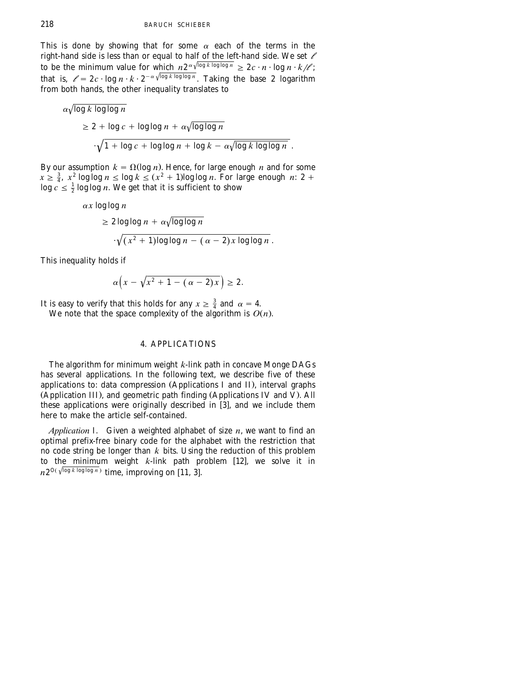<span id="page-14-0"></span>This is done by showing that for some  $\alpha$  each of the terms in the right-hand side is less than or equal to half of the left-hand side. We set *l* to be the minimum value for which  $n2^{\alpha \sqrt{\log k \log \log n}} \ge 2c \cdot n \cdot \log n \cdot k/\ell$ ;<br>that is,  $\ell = 2c \cdot \log n \cdot k \cdot 2^{-\alpha \sqrt{\log k \log \log n}}$ . Taking the base 2 logarithm from both hands, the other inequality translates to

$$
\alpha \sqrt{\log k \log \log n}
$$
  
\n
$$
\geq 2 + \log c + \log \log n + \alpha \sqrt{\log \log n}
$$
  
\n
$$
\cdot \sqrt{1 + \log c + \log \log n + \log k - \alpha \sqrt{\log k \log \log n}}
$$
.

By our assumption  $k = \Omega(\log n)$ . Hence, for large enough *n* and for some  $x \ge \frac{3}{4}$ ,  $x^2$  log log  $n \le \log k \le (x^2 + 1)$ log log  $n$ . For large enough  $n: 2 + \log c \le \frac{1}{2}$  log log  $n$ . We get that it is sufficient to show

$$
\alpha x \log \log n
$$
  
\n
$$
\geq 2 \log \log n + \alpha \sqrt{\log \log n}
$$
  
\n
$$
\sqrt{(x^2 + 1) \log \log n - (\alpha - 2) x \log \log n}.
$$

This inequality holds if

$$
\alpha\Big(x-\sqrt{x^2+1-(\alpha-2)x}\Big)\geq 2.
$$

It is easy to verify that this holds for any  $x \geq \frac{3}{4}$  and  $\alpha = 4$ . We note that the space complexity of the algorithm is  $O(n)$ .

## 4. APPLICATIONS

The algorithm for minimum weight *k*-link path in concave Monge DAGs has several applications. In the following text, we describe five of these applications to: data compression (Applications I and II), interval graphs (Application III), and geometric path finding (Applications IV and V). All these applications were originally described in  $\overline{3}$ , and we include them here to make the article self-contained.

*Application* I. Given a weighted alphabet of size *n*, we want to find an optimal prefix-free binary code for the alphabet with the restriction that no code string be longer than *k* bits. Using the reduction of this problem<br>to the minimum weight *k*-link path problem [12], we solve it in  $n 2^{O(\sqrt{\log k \log \log n})}$  time, improving on [11, 3].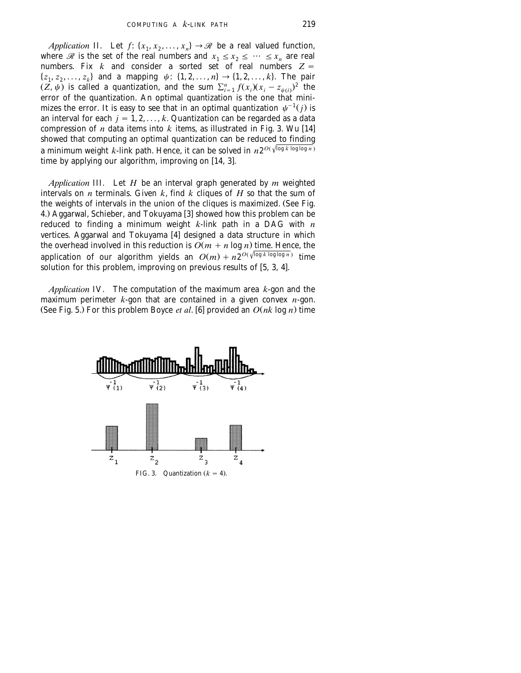*Application* II. Let  $f: \{x_1, x_2, \ldots, x_n\} \rightarrow \mathcal{R}$  be a real valued function, where *R* is the set of the real numbers and  $x_1 \le x_2 \le \cdots \le x_n$  are real numbers. Fix *k* and consider a sorted set of real numbers  $Z =$  $\{z_1, z_2, \ldots, z_k\}$  and a mapping  $\psi: \{1, 2, \ldots, n\} \to \{1, 2, \ldots, k\}$ . The pair  $(Z, \psi)$  is called a quantization, and the sum  $\sum_{i=1}^{n} f(x_i)(x_i - z_{\psi(i)})^2$  the error of the quantization. An optimal quantization is the one that mini-<br>mizes the error. It is easy to see that in an optimal quantization  $\psi^{-1}(j)$  is an interval for each  $j = 1, 2, ..., k$ . Quantization can be regarded as a data compression of  $n$  data items into  $k$  items, as illustrated in Fig. 3. Wu [14] showed that computing an optimal quantization can be reduced to finding *a* minimum weight *k*-link path. Hence, it can be solved in  $n2^{O(\sqrt{\log k \log \log n})}$ time by applying our algorithm, improving on [14, [3](#page-17-0)].

*Application* III. Let *H* be an interval graph generated by *m* weighted intervals on *n* terminals. Given *k*, find *k* cliques of *H* so that the sum of the weights of intervals in the union of the cliques is maximized. (See [Fig.](#page-16-0) [4.](#page-16-0)) Aggarwal, Schieber, and Tokuyama [3] showed how this problem can be reduced to finding a minimum weight *k*-link path in a DAG with *n* vertices. Aggarwal and Tokuyama  $[4]$  designed a data structure in which the overhead involved in this reduction is  $O(m + n \log n)$  time. Hence, the application of our algorithm yields an  $O(m) + n2^{O(\sqrt{\log k \log \log n})}$  time solution for this problem, improving on previous results of  $[5, 3, 4]$ .

*Application* IV. The computation of the maximum area *k*-gon and the maximum perimeter  $k$ -gon that are contained in a given convex  $n$ -gon. (See Fig. 5.) For this problem Boyce *et al.* [6] provided an  $O(nk \log n)$  time

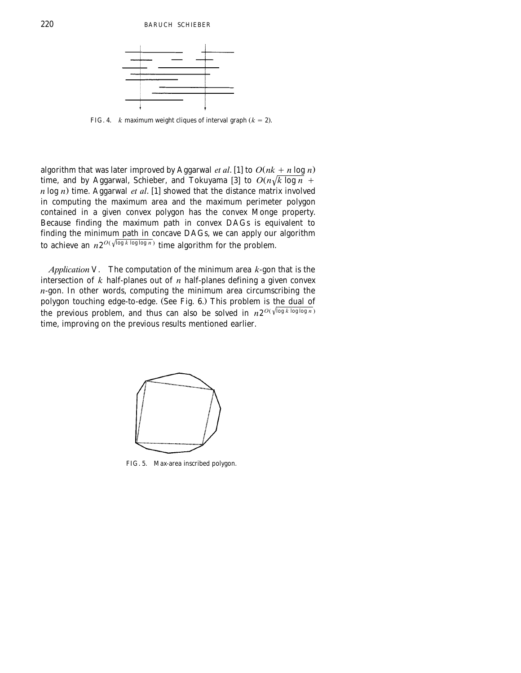<span id="page-16-0"></span>

FIG. 4. *k* maximum weight cliques of interval graph  $(k = 2)$ .

algorithm that was later improved by Aggarwal *et al*. [1] to  $O(nk + n \log n)$ time, and by Aggarwal, Schieber, and Tokuyama [3] to  $O(n\sqrt{k \log n} +$  $n \log n$ ) time. Aggarwal *et al.* [1] showed that the distance matrix involved in computing the maximum area and the maximum perimeter polygon contained in a given convex polygon has the convex Monge property. Because finding the maximum path in convex DAGs is equivalent to finding the minimum path in concave DAGs, we can apply our algorithm to achieve an  $n2^{O(\sqrt{\log k \log \log n})}$  time algorithm for the problem.

*Application* V. The computation of the minimum area *k*-gon that is the intersection of  $k$  half-planes out of  $n$  half-planes defining a given convex  $n$ -gon. In other words, computing the minimum area circumscribing the polygon touching edge-to-edge. (See [Fig. 6.](#page-17-0)) This problem is the dual of the previous problem, and thus can also be solved in  $n2^{O(\sqrt{\log k \log \log n})}$ time, improving on the previous results mentioned earlier.



FIG. 5. Max-area inscribed polygon.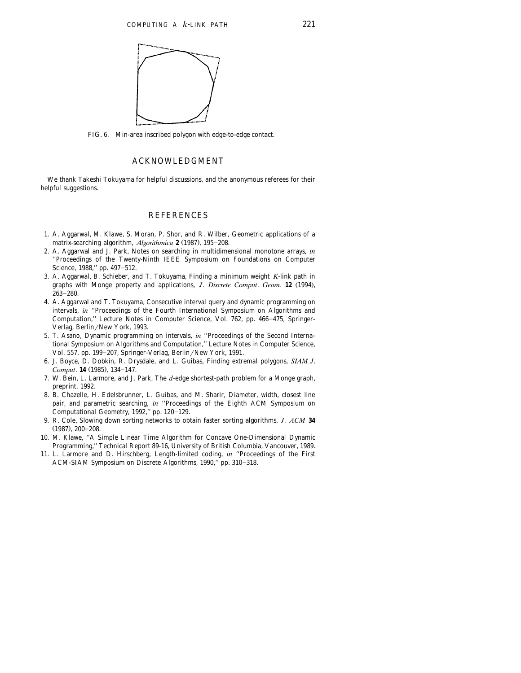<span id="page-17-0"></span>

FIG. 6. Min-area inscribed polygon with edge-to-edge contact.

#### ACKNOWLEDGMENT

We thank Takeshi Tokuyama for helpful discussions, and the anonymous referees for their helpful suggestions.

#### **REFERENCES**

- 1. A. Aggarwal, M. Klawe, S. Moran, P. Shor, and R. Wilber, Geometric applications of a matrix-searching algorithm, *Algorithmica* **2** (1987), 195-208.
- 2. A. Aggarwal and J. Park, Notes on searching in multidimensional monotone arrays, *in* ''Proceedings of the Twenty-Ninth IEEE Symposium on Foundations on Computer Science, 1988," pp. 497-512.
- 3. A. Aggarwal, B. Schieber, and T. Tokuyama, Finding a minimum weight *K*-link path in graphs with Monge property and applications, *J. Discrete Comput. Geom.* **12** (1994),  $263 - 280.$
- 4. A. Aggarwal and T. Tokuyama, Consecutive interval query and dynamic programming on intervals, *in* ''Proceedings of the Fourth International Symposium on Algorithms and Computation," Lecture Notes in Computer Science, Vol. 762, pp. 466-475, Springer-Verlag, Berlin/New York, 1993.
- 5. T. Asano, Dynamic programming on intervals, *in* ''Proceedings of the Second International Symposium on Algorithms and Computation,'' Lecture Notes in Computer Science, Vol. 557, pp. 199-207, Springer-Verlag, Berlin/New York, 1991.
- 6. J. Boyce, D. Dobkin, R. Drysdale, and L. Guibas, Finding extremal polygons, *SIAM J*. *Comput.* **14** (1985), 134-147.
- 7. W. Bein, L. Larmore, and J. Park, The *d*-edge shortest-path problem for a Monge graph, preprint, 1992.
- 8. B. Chazelle, H. Edelsbrunner, L. Guibas, and M. Sharir, Diameter, width, closest line pair, and parametric searching, *in* ''Proceedings of the Eighth ACM Symposium on Computational Geometry, 1992," pp. 120-129.
- 9. R. Cole, Slowing down sorting networks to obtain faster sorting algorithms, *J*. *ACM* **34**  $(1987)$ ,  $200-208$ .
- 10. M. Klawe, ''A Simple Linear Time Algorithm for Concave One-Dimensional Dynamic Programming,'' Technical Report 89-16, University of British Columbia, Vancouver, 1989.
- 11. L. Larmore and D. Hirschberg, Length-limited coding, *in* ''Proceedings of the First ACM-SIAM Symposium on Discrete Algorithms, 1990," pp. 310-318.